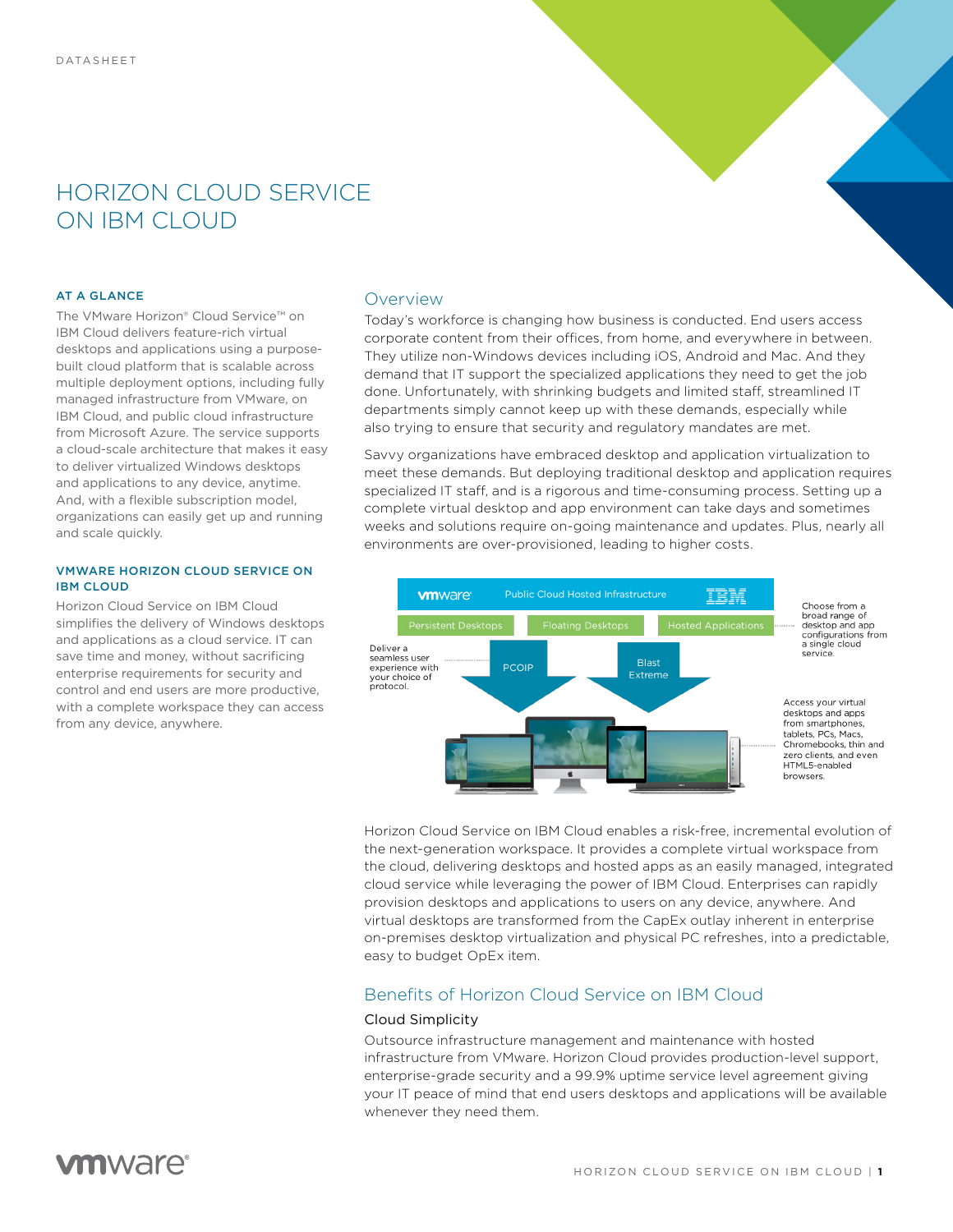# HORIZON CLOUD SERVICE ON IBM CLOUD

#### AT A GLANCE

The VMware Horizon® Cloud Service™ on IBM Cloud delivers feature-rich virtual desktops and applications using a purposebuilt cloud platform that is scalable across multiple deployment options, including fully managed infrastructure from VMware, on IBM Cloud, and public cloud infrastructure from Microsoft Azure. The service supports a cloud-scale architecture that makes it easy to deliver virtualized Windows desktops and applications to any device, anytime. And, with a flexible subscription model, organizations can easily get up and running and scale quickly.

#### VMWARE HORIZON CLOUD SERVICE ON IBM CLOUD

Horizon Cloud Service on IBM Cloud simplifies the delivery of Windows desktops and applications as a cloud service. IT can save time and money, without sacrificing enterprise requirements for security and control and end users are more productive, with a complete workspace they can access from any device, anywhere.

# Overview

Today's workforce is changing how business is conducted. End users access corporate content from their offices, from home, and everywhere in between. They utilize non-Windows devices including iOS, Android and Mac. And they demand that IT support the specialized applications they need to get the job done. Unfortunately, with shrinking budgets and limited staff, streamlined IT departments simply cannot keep up with these demands, especially while also trying to ensure that security and regulatory mandates are met.

Savvy organizations have embraced desktop and application virtualization to meet these demands. But deploying traditional desktop and application requires specialized IT staff, and is a rigorous and time-consuming process. Setting up a complete virtual desktop and app environment can take days and sometimes weeks and solutions require on-going maintenance and updates. Plus, nearly all environments are over-provisioned, leading to higher costs.



Horizon Cloud Service on IBM Cloud enables a risk-free, incremental evolution of the next-generation workspace. It provides a complete virtual workspace from the cloud, delivering desktops and hosted apps as an easily managed, integrated cloud service while leveraging the power of IBM Cloud. Enterprises can rapidly provision desktops and applications to users on any device, anywhere. And virtual desktops are transformed from the CapEx outlay inherent in enterprise on-premises desktop virtualization and physical PC refreshes, into a predictable, easy to budget OpEx item.

# Benefits of Horizon Cloud Service on IBM Cloud

# Cloud Simplicity

Outsource infrastructure management and maintenance with hosted infrastructure from VMware. Horizon Cloud provides production-level support, enterprise-grade security and a 99.9% uptime service level agreement giving your IT peace of mind that end users desktops and applications will be available whenever they need them.